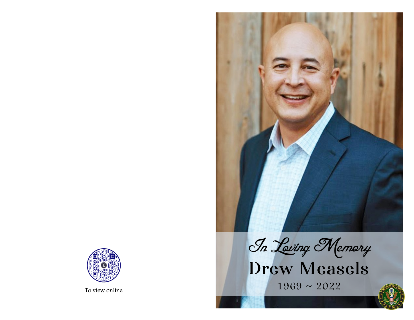

To view online  $1969 \sim 2022$ 



In Leving Memory<br>Drew Measels